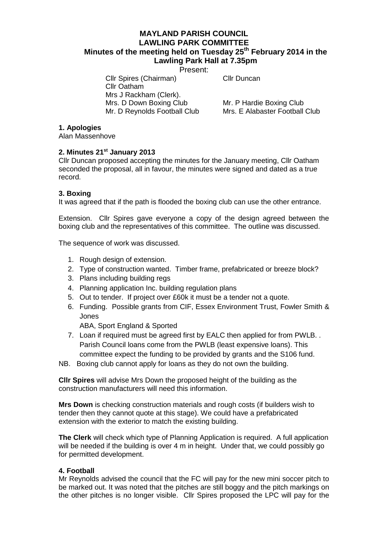# **MAYLAND PARISH COUNCIL LAWLING PARK COMMITTEE Minutes of the meeting held on Tuesday 25th February 2014 in the Lawling Park Hall at 7.35pm**

Present:

Cllr Spires (Chairman) Cllr Duncan Cllr Oatham Mrs J Rackham (Clerk). Mrs. D Down Boxing Club Mr. P Hardie Boxing Club<br>Mr. D Revnolds Football Club Mrs. E Alabaster Football

Mrs. E Alabaster Football Club

## **1. Apologies**

Alan Massenhove

## **2. Minutes 21st January 2013**

Cllr Duncan proposed accepting the minutes for the January meeting, Cllr Oatham seconded the proposal, all in favour, the minutes were signed and dated as a true record.

## **3. Boxing**

It was agreed that if the path is flooded the boxing club can use the other entrance.

Extension. Cllr Spires gave everyone a copy of the design agreed between the boxing club and the representatives of this committee. The outline was discussed.

The sequence of work was discussed.

- 1. Rough design of extension.
- 2. Type of construction wanted. Timber frame, prefabricated or breeze block?
- 3. Plans including building regs
- 4. Planning application Inc. building regulation plans
- 5. Out to tender. If project over £60k it must be a tender not a quote.
- 6. Funding. Possible grants from CIF, Essex Environment Trust, Fowler Smith & Jones

ABA, Sport England & Sported

- 7. Loan if required must be agreed first by EALC then applied for from PWLB. . Parish Council loans come from the PWLB (least expensive loans). This committee expect the funding to be provided by grants and the S106 fund.
- NB. Boxing club cannot apply for loans as they do not own the building.

**Cllr Spires** will advise Mrs Down the proposed height of the building as the construction manufacturers will need this information.

**Mrs Down** is checking construction materials and rough costs (if builders wish to tender then they cannot quote at this stage). We could have a prefabricated extension with the exterior to match the existing building.

**The Clerk** will check which type of Planning Application is required. A full application will be needed if the building is over 4 m in height. Under that, we could possibly go for permitted development.

### **4. Football**

Mr Reynolds advised the council that the FC will pay for the new mini soccer pitch to be marked out. It was noted that the pitches are still boggy and the pitch markings on the other pitches is no longer visible. Cllr Spires proposed the LPC will pay for the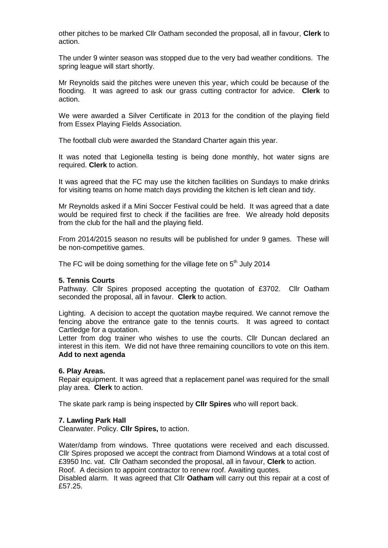other pitches to be marked Cllr Oatham seconded the proposal, all in favour, **Clerk** to action.

The under 9 winter season was stopped due to the very bad weather conditions. The spring league will start shortly.

Mr Reynolds said the pitches were uneven this year, which could be because of the flooding. It was agreed to ask our grass cutting contractor for advice. **Clerk** to action.

We were awarded a Silver Certificate in 2013 for the condition of the playing field from Essex Playing Fields Association.

The football club were awarded the Standard Charter again this year.

It was noted that Legionella testing is being done monthly, hot water signs are required. **Clerk** to action.

It was agreed that the FC may use the kitchen facilities on Sundays to make drinks for visiting teams on home match days providing the kitchen is left clean and tidy.

Mr Reynolds asked if a Mini Soccer Festival could be held. It was agreed that a date would be required first to check if the facilities are free. We already hold deposits from the club for the hall and the playing field.

From 2014/2015 season no results will be published for under 9 games. These will be non-competitive games.

The FC will be doing something for the village fete on  $5<sup>th</sup>$  July 2014

### **5. Tennis Courts**

Pathway. Cllr Spires proposed accepting the quotation of £3702. Cllr Oatham seconded the proposal, all in favour. **Clerk** to action.

Lighting. A decision to accept the quotation maybe required. We cannot remove the fencing above the entrance gate to the tennis courts. It was agreed to contact Cartledge for a quotation.

Letter from dog trainer who wishes to use the courts. Cllr Duncan declared an interest in this item. We did not have three remaining councillors to vote on this item. **Add to next agenda**

#### **6. Play Areas.**

Repair equipment. It was agreed that a replacement panel was required for the small play area. **Clerk** to action.

The skate park ramp is being inspected by **Cllr Spires** who will report back.

### **7. Lawling Park Hall**

Clearwater. Policy. **Cllr Spires,** to action.

Water/damp from windows. Three quotations were received and each discussed. Cllr Spires proposed we accept the contract from Diamond Windows at a total cost of £3950 Inc. vat. Cllr Oatham seconded the proposal, all in favour, **Clerk** to action. Roof. A decision to appoint contractor to renew roof. Awaiting quotes.

Disabled alarm. It was agreed that Cllr **Oatham** will carry out this repair at a cost of £57.25.